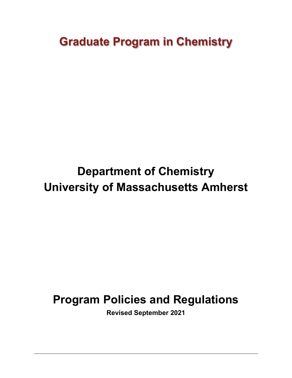**Graduate Program in Chemistry**

# **Department of Chemistry University of Massachusetts Amherst**

# **Program Policies and Regulations**

**Revised September 2021**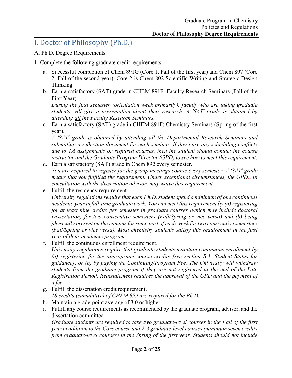# I. Doctor of Philosophy (Ph.D.)

- A. Ph.D. Degree Requirements
- 1. Complete the following graduate credit requirements
	- a. Successful completion of Chem 891G (Core 1, Fall of the first year) and Chem 897 (Core 2, Fall of the second year). Core 2 is Chem 802 Scientific Writing and Strategic Design Thinking
	- b. Earn a satisfactory (SAT) grade in CHEM 891F: Faculty Research Seminars (Fall of the First Year).

*During the first semester (orientation week primarily), faculty who are taking graduate students will give a presentation about their research. A 'SAT' grade is obtained by attending all the Faculty Research Seminars.* 

c. Earn a satisfactory (SAT) grade in CHEM 891F: Chemistry Seminars (Spring of the first year).

*A 'SAT' grade is obtained by attending all the Departmental Research Seminars and submitting a reflection document for each seminar. If there are any scheduling conflicts due to TA assignments or required courses, then the student should contact the course instructor and the Graduate Program Director (GPD) to see how to meet this requirement.* 

- d. Earn a satisfactory (SAT) grade in Chem 892 every semester. *You are required to register for the group meetings course every semester. A 'SAT' grade means that you fulfilled the requirement. Under exceptional circumstances, the GPD), in consultation with the dissertation advisor, may waive this requirement.*
- e. Fulfill the residency requirement. *University regulations require that each Ph.D. student spend a minimum of one continuous academic year in full-time graduate work. You can meet this requirement by (a) registering for at least nine credits per semester in graduate courses (which may include doctoral Dissertation) for two consecutive semesters (Fall/Spring or vice versa) and (b) being physically present on the campus for some part of each week for two consecutive semesters (Fall/Spring or vice versa). Most chemistry students satisfy this requirement in the first*
- *year of their academic program.* f. Fulfill the continuous enrollment requirement.

*University regulations require that graduate students maintain continuous enrollment by (a) registering for the appropriate course credits [see section B.1. Student Status for guidance], or (b) by paying the Continuing/Program Fee. The University will withdraw students from the graduate program if they are not registered at the end of the Late Registration Period. Reinstatement requires the approval of the GPD and the payment of a fee.*

g. Fulfill the dissertation credit requirement.

*18 credits (cumulative) of CHEM 899 are required for the Ph.D.* 

- h. Maintain a grade-point average of 3.0 or higher.
- i. Fulfill any course requirements as recommended by the graduate program, advisor, and the dissertation committee.

*Graduate students are required to take two graduate-level courses in the Fall of the first year in addition to the Core course and 2-3 graduate-level courses (minimum seven credits from graduate-level courses) in the Spring of the first year. Students should not include*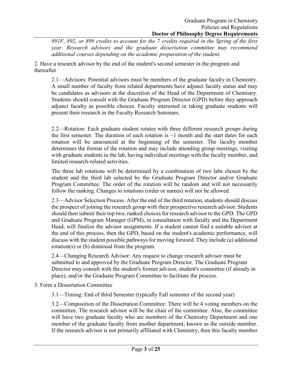*891F, 892, or 899 credits to account for the 7 credits required in the Spring of the first year. Research advisors and the graduate dissertation committee may recommend additional courses depending on the academic preparation of the student.* 

2. Have a research advisor by the end of the student's second semester in the program and thereafter

2.1—Advisors: Potential advisors must be members of the graduate faculty in Chemistry. A small number of faculty from related departments have adjunct faculty status and may be candidates as advisors at the discretion of the Head of the Department of Chemistry. Students should consult with the Graduate Program Director (GPD) before they approach adjunct faculty as possible choices. Faculty interested in taking graduate students will present their research in the Faculty Research Seminars.

2.2—Rotation: Each graduate student rotates with three different research groups during the first semester. The duration of each rotation is  $\sim$ 1 month and the start dates for each rotation will be announced at the beginning of the semester. The faculty member determines the format of the rotation and may include attending group meetings, visiting with graduate students in the lab, having individual meetings with the faculty member, and limited research-related activities.

The three lab rotations will be determined by a combination of two labs chosen by the student and the third lab selected by the Graduate Program Director and/or Graduate Program Committee. The order of the rotation will be random and will not necessarily follow the ranking. Changes to rotations (order or names) will not be allowed.

2.3—Advisor Selection Process. After the end of the third rotation, students should discuss the prospect of joining the research group with their prospective research advisor. Students should then submit their top two, ranked choices for research advisor to the GPD. The GPD and Graduate Program Manager (GPM), in consultation with faculty and the Department Head, will finalize the advisor assignments. If a student cannot find a suitable advisor at the end of this process, then the GPD, based on the student's academic performance, will discuss with the student possible pathways for moving forward. They include (a) additional rotation(s) or (b) dismissal from the program.

2.4—Changing Research Advisor: Any request to change research advisor must be submitted to and approved by the Graduate Program Director. The Graduate Program Director may consult with the student's former advisor, student's committee (if already in place), and/or the Graduate Program Committee to facilitate the process.

3. Form a Dissertation Committee

3.1—Timing: End of third Semester (typically Fall semester of the second year)

3.2—Composition of the Dissertation Committee: There will be 4 voting members on the committee. The research advisor will be the chair of the committee. Also, the committee will have two graduate faculty who are members of the Chemistry Department and one member of the graduate faculty from another department, known as the outside member. If the research advisor is not primarily affiliated with Chemistry, then this faculty member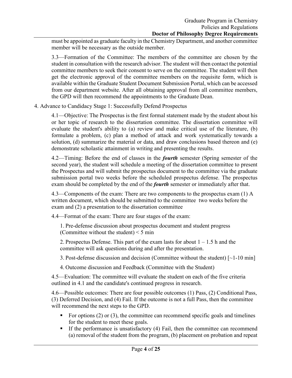must be appointed as graduate faculty in the Chemistry Department, and another committee member will be necessary as the outside member.

3.3—Formation of the Committee: The members of the committee are chosen by the student in consultation with the research advisor. The student will then contact the potential committee members to seek their consent to serve on the committee. The student will then get the electronic approval of the committee members on the requisite form, which is available within the Graduate Student Document Submission Portal, which can be accessed from our department website. After all obtaining approval from all committee members, the GPD will then recommend the appointments to the Graduate Dean.

4. Advance to Candidacy Stage 1: Successfully Defend Prospectus

4.1—Objective: The Prospectus is the first formal statement made by the student about his or her topic of research to the dissertation committee. The dissertation committee will evaluate the student's ability to (a) review and make critical use of the literature, (b) formulate a problem, (c) plan a method of attack and work systematically towards a solution, (d) summarize the material or data, and draw conclusions based thereon and (e) demonstrate scholastic attainment in writing and presenting the results.

4.2—Timing: Before the end of classes in the *fourth* semester (Spring semester of the second year), the student will schedule a meeting of the dissertation committee to present the Prospectus and will submit the prospectus document to the committee via the graduate submission portal two weeks before the scheduled prospectus defense. The prospectus exam should be completed by the end of the *fourth* semester or immediately after that.

4.3—Components of the exam: There are two components to the prospectus exam (1) A written document, which should be submitted to the committee two weeks before the exam and (2) a presentation to the dissertation committee

4.4—Format of the exam: There are four stages of the exam:

1. Pre-defense discussion about prospectus document and student progress (Committee without the student)  $\leq$  5 min

2. Prospectus Defense. This part of the exam lasts for about  $1 - 1.5$  h and the committee will ask questions during and after the presentation.

3. Post-defense discussion and decision (Committee without the student) [~1-10 min]

4. Outcome discussion and Feedback (Committee with the Student)

4.5—Evaluation: The committee will evaluate the student on each of the five criteria outlined in 4.1 and the candidate's continued progress in research.

4.6—Possible outcomes: There are four possible outcomes (1) Pass, (2) Conditional Pass, (3) Deferred Decision, and (4) Fail. If the outcome is not a full Pass, then the committee will recommend the next steps to the GPD.

- For options  $(2)$  or  $(3)$ , the committee can recommend specific goals and timelines for the student to meet these goals.
- If the performance is unsatisfactory  $(4)$  Fail, then the committee can recommend (a) removal of the student from the program, (b) placement on probation and repeat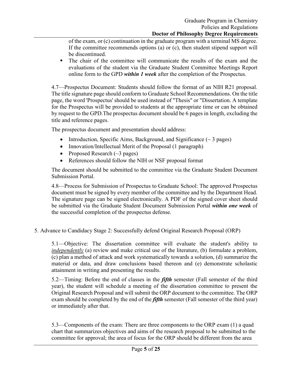of the exam, or (c) continuation in the graduate program with a terminal MS degree. If the committee recommends options (a) or (c), then student stipend support will be discontinued.

 The chair of the committee will communicate the results of the exam and the evaluations of the student via the Graduate Student Committee Meetings Report online form to the GPD *within 1 week* after the completion of the Prospectus.

4.7—Prospectus Document: Students should follow the format of an NIH R21 proposal. The title signature page should conform to Graduate School Recommendations. On the title page, the word 'Prospectus' should be used instead of "Thesis" or "Dissertation. A template for the Prospectus will be provided to students at the appropriate time or can be obtained by request to the GPD.The prospectus document should be 6 pages in length, excluding the title and reference pages.

The prospectus document and presentation should address:

- Introduction, Specific Aims, Background, and Significance  $(\sim 3 \text{ pages})$
- Innovation/Intellectual Merit of the Proposal (1 paragraph)
- Proposed Research  $(\sim 3$  pages)
- References should follow the NIH or NSF proposal format

The document should be submitted to the committee via the Graduate Student Document Submission Portal.

4.8—Process for Submission of Prospectus to Graduate School: The approved Prospectus document must be signed by every member of the committee and by the Department Head. The signature page can be signed electronically. A PDF of the signed cover sheet should be submitted via the Graduate Student Document Submission Portal *within one week* of the successful completion of the prospectus defense.

5. Advance to Candidacy Stage 2: Successfully defend Original Research Proposal (ORP)

5.1—Objective: The dissertation committee will evaluate the student's ability to *independently* (a) review and make critical use of the literature, (b) formulate a problem, (c) plan a method of attack and work systematically towards a solution, (d) summarize the material or data, and draw conclusions based thereon and (e) demonstrate scholastic attainment in writing and presenting the results.

5.2—Timing: Before the end of classes in the *fifth* semester (Fall semester of the third year), the student will schedule a meeting of the dissertation committee to present the Original Research Proposal and will submit the ORP document to the committee. The ORP exam should be completed by the end of the *fifth* semester (Fall semester of the third year) or immediately after that.

5.3—Components of the exam: There are three components to the ORP exam (1) a quad chart that summarizes objectives and aims of the research proposal to be submitted to the committee for approval; the area of focus for the ORP should be different from the area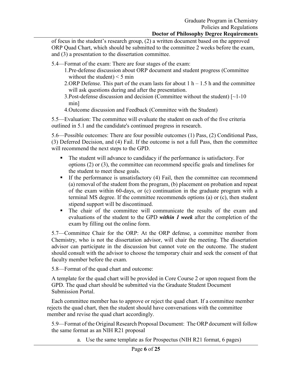of focus in the student's research group, (2) a written document based on the approved ORP Quad Chart, which should be submitted to the committee 2 weeks before the exam, and (3) a presentation to the dissertation committee.

5.4—Format of the exam: There are four stages of the exam:

- 1.Pre-defense discussion about ORP document and student progress (Committee without the student)  $\leq$  5 min
- 2.ORP Defense. This part of the exam lasts for about  $1 h 1.5 h$  and the committee will ask questions during and after the presentation.
- 3.Post-defense discussion and decision (Committee without the student)  $\lceil$  ~1-10 min]
- 4.Outcome discussion and Feedback (Committee with the Student)

5.5—Evaluation: The committee will evaluate the student on each of the five criteria outlined in 5.1 and the candidate's continued progress in research.

5.6—Possible outcomes: There are four possible outcomes (1) Pass, (2) Conditional Pass, (3) Deferred Decision, and (4) Fail. If the outcome is not a full Pass, then the committee will recommend the next steps to the GPD.

- The student will advance to candidacy if the performance is satisfactory. For options (2) or (3), the committee can recommend specific goals and timelines for the student to meet these goals.
- If the performance is unsatisfactory  $(4)$  Fail, then the committee can recommend (a) removal of the student from the program, (b) placement on probation and repeat of the exam within 60-days, or (c) continuation in the graduate program with a terminal MS degree. If the committee recommends options (a) or (c), then student stipend support will be discontinued.
- The chair of the committee will communicate the results of the exam and evaluations of the student to the GPD *within 1 week* after the completion of the exam by filling out the online form.

5.7—Committee Chair for the ORP: At the ORP defense, a committee member from Chemistry, who is not the dissertation advisor, will chair the meeting. The dissertation advisor can participate in the discussion but cannot vote on the outcome. The student should consult with the advisor to choose the temporary chair and seek the consent of that faculty member before the exam.

5.8—Format of the quad chart and outcome:

A template for the quad chart will be provided in Core Course 2 or upon request from the GPD. The quad chart should be submitted via the Graduate Student Document Submission Portal.

Each committee member has to approve or reject the quad chart. If a committee member rejects the quad chart, then the student should have conversations with the committee member and revise the quad chart accordingly.

5.9—Format of the Original Research Proposal Document: The ORP document will follow the same format as an NIH R21 proposal

a. Use the same template as for Prospectus (NIH R21 format, 6 pages)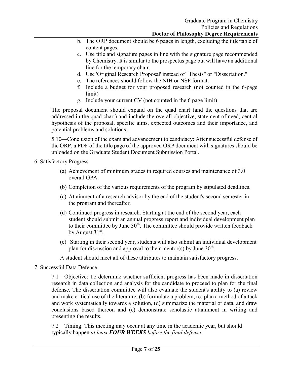- b. The ORP document should be 6 pages in length, excluding the title/table of content pages.
- c. Use title and signature pages in line with the signature page recommended by Chemistry. It is similar to the prospectus page but will have an additional line for the temporary chair.
- d. Use 'Original Research Proposal' instead of "Thesis" or "Dissertation."
- e. The references should follow the NIH or NSF format.
- f. Include a budget for your proposed research (not counted in the 6-page limit)
- g. Include your current CV (not counted in the 6 page limit)

The proposal document should expand on the quad chart (and the questions that are addressed in the quad chart) and include the overall objective, statement of need, central hypothesis of the proposal, specific aims, expected outcomes and their importance, and potential problems and solutions.

5.10—Conclusion of the exam and advancement to candidacy: After successful defense of the ORP, a PDF of the title page of the approved ORP document with signatures should be uploaded on the Graduate Student Document Submission Portal.

6. Satisfactory Progress

- (a) Achievement of minimum grades in required courses and maintenance of 3.0 overall GPA.
- (b) Completion of the various requirements of the program by stipulated deadlines.
- (c) Attainment of a research advisor by the end of the student's second semester in the program and thereafter.
- (d) Continued progress in research. Starting at the end of the second year, each student should submit an annual progress report and individual development plan to their committee by June 30<sup>th</sup>. The committee should provide written feedback by August  $31<sup>st</sup>$ .
- (e) Starting in their second year, students will also submit an individual development plan for discussion and approval to their mentor(s) by June  $30<sup>th</sup>$ .

A student should meet all of these attributes to maintain satisfactory progress.

7. Successful Data Defense

7.1—Objective: To determine whether sufficient progress has been made in dissertation research in data collection and analysis for the candidate to proceed to plan for the final defense. The dissertation committee will also evaluate the student's ability to (a) review and make critical use of the literature, (b) formulate a problem, (c) plan a method of attack and work systematically towards a solution, (d) summarize the material or data, and draw conclusions based thereon and (e) demonstrate scholastic attainment in writing and presenting the results.

7.2—Timing: This meeting may occur at any time in the academic year, but should typically happen *at least FOUR WEEKS before the final defense*.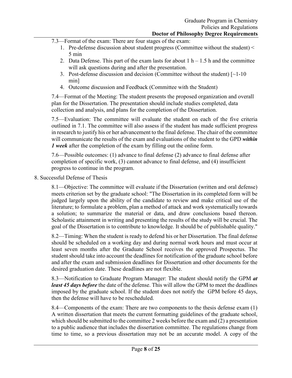7.3—Format of the exam: There are four stages of the exam:

- 1. Pre-defense discussion about student progress (Committee without the student) < 5 min
- 2. Data Defense. This part of the exam lasts for about  $1 h 1.5 h$  and the committee will ask questions during and after the presentation.
- 3. Post-defense discussion and decision (Committee without the student)  $\lceil \sim 1-10 \rceil$ min]
- 4. Outcome discussion and Feedback (Committee with the Student)

7.4—Format of the Meeting: The student presents the proposed organization and overall plan for the Dissertation. The presentation should include studies completed, data collection and analysis, and plans for the completion of the Dissertation.

7.5—Evaluation: The committee will evaluate the student on each of the five criteria outlined in 7.1. The committee will also assess if the student has made sufficient progress in research to justify his or her advancement to the final defense. The chair of the committee will communicate the results of the exam and evaluations of the student to the GPD *within 1 week* after the completion of the exam by filling out the online form.

7.6—Possible outcomes: (1) advance to final defense (2) advance to final defense after completion of specific work, (3) cannot advance to final defense, and (4) insufficient progress to continue in the program.

8. Successful Defense of Thesis

8.1—Objective: The committee will evaluate if the Dissertation (written and oral defense) meets criterion set by the graduate school: "The Dissertation in its completed form will be judged largely upon the ability of the candidate to review and make critical use of the literature; to formulate a problem, plan a method of attack and work systematically towards a solution; to summarize the material or data, and draw conclusions based thereon. Scholastic attainment in writing and presenting the results of the study will be crucial. The goal of the Dissertation is to contribute to knowledge. It should be of publishable quality."

8.2—Timing: When the student is ready to defend his or her Dissertation. The final defense should be scheduled on a working day and during normal work hours and must occur at least seven months after the Graduate School receives the approved Prospectus. The student should take into account the deadlines for notification of the graduate school before and after the exam and submission deadlines for Dissertation and other documents for the desired graduation date. These deadlines are not flexible.

8.3—Notification to Graduate Program Manager: The student should notify the GPM *at least 45 days before* the date of the defense. This will allow the GPM to meet the deadlines imposed by the graduate school. If the student does not notify the GPM before 45 days, then the defense will have to be rescheduled.

8.4—Components of the exam: There are two components to the thesis defense exam (1) A written dissertation that meets the current formatting guidelines of the graduate school, which should be submitted to the committee 2 weeks before the exam and (2) a presentation to a public audience that includes the dissertation committee. The regulations change from time to time, so a previous dissertation may not be an accurate model. A copy of the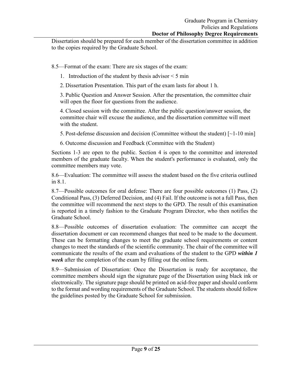Dissertation should be prepared for each member of the dissertation committee in addition to the copies required by the Graduate School.

8.5—Format of the exam: There are six stages of the exam:

1. Introduction of the student by thesis advisor < 5 min

2. Dissertation Presentation. This part of the exam lasts for about 1 h.

3. Public Question and Answer Session. After the presentation, the committee chair will open the floor for questions from the audience.

4. Closed session with the committee. After the public question/answer session, the committee chair will excuse the audience, and the dissertation committee will meet with the student.

5. Post-defense discussion and decision (Committee without the student)  $\lceil$  ~1-10 min]

6. Outcome discussion and Feedback (Committee with the Student)

Sections 1-3 are open to the public. Section 4 is open to the committee and interested members of the graduate faculty. When the student's performance is evaluated, only the committee members may vote.

8.6—Evaluation: The committee will assess the student based on the five criteria outlined in 8.1.

8.7—Possible outcomes for oral defense: There are four possible outcomes (1) Pass, (2) Conditional Pass, (3) Deferred Decision, and (4) Fail. If the outcome is not a full Pass, then the committee will recommend the next steps to the GPD. The result of this examination is reported in a timely fashion to the Graduate Program Director, who then notifies the Graduate School.

8.8—Possible outcomes of dissertation evaluation: The committee can accept the dissertation document or can recommend changes that need to be made to the document. These can be formatting changes to meet the graduate school requirements or content changes to meet the standards of the scientific community. The chair of the committee will communicate the results of the exam and evaluations of the student to the GPD *within 1 week* after the completion of the exam by filling out the online form.

8.9—Submission of Dissertation: Once the Dissertation is ready for acceptance, the committee members should sign the signature page of the Dissertation using black ink or electronically. The signature page should be printed on acid-free paper and should conform to the format and wording requirements of the Graduate School. The students should follow the guidelines posted by the Graduate School for submission.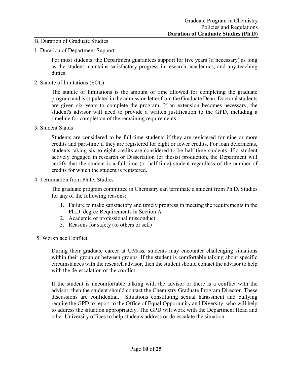## B. Duration of Graduate Studies

1. Duration of Department Support

For most students, the Department guarantees support for five years (if necessary) as long as the student maintains satisfactory progress in research, academics, and any teaching duties.

2. Statute of limitations (SOL)

The statute of limitations is the amount of time allowed for completing the graduate program and is stipulated in the admission letter from the Graduate Dean. Doctoral students are given six years to complete the program. If an extension becomes necessary, the student's advisor will need to provide a written justification to the GPD, including a timeline for completion of the remaining requirements.

3. Student Status

Students are considered to be full-time students if they are registered for nine or more credits and part-time if they are registered for eight or fewer credits. For loan deferments, students taking six to eight credits are considered to be half-time students. If a student actively engaged in research or Dissertation (or thesis) production, the Department will certify that the student is a full-time (or half-time) student regardless of the number of credits for which the student is registered.

4. Termination from Ph.D. Studies

The graduate program committee in Chemistry can terminate a student from Ph.D. Studies for any of the following reasons:

- 1. Failure to make satisfactory and timely progress in meeting the requirements in the Ph.D. degree Requirements in Section A
- 2. Academic or professional misconduct
- 3. Reasons for safety (to others or self)
- 5. Workplace Conflict

During their graduate career at UMass, students may encounter challenging situations within their group or between groups. If the student is comfortable talking about specific circumstances with the research advisor, then the student should contact the advisor to help with the de-escalation of the conflict.

If the student is uncomfortable talking with the advisor or there is a conflict with the advisor, then the student should contact the Chemistry Graduate Program Director. These discussions are confidential. Situations constituting sexual harassment and bullying require the GPD to report to the Office of Equal Opportunity and Diversity, who will help to address the situation appropriately. The GPD will work with the Department Head and other University offices to help students address or de-escalate the situation.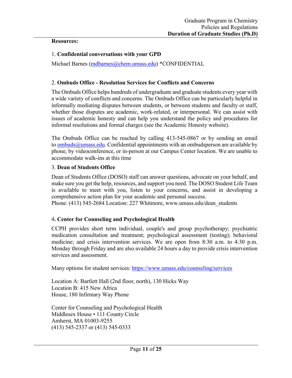#### **Resources:**

## 1. **Confidential conversations with your GPD**

Michael Barnes [\(mdbarnes@chem.umass.edu\)](mailto:mdbarnes@chem.umass.edu) \*CONFIDENTIAL

## 2. **Ombuds Office - Resolution Services for Conflicts and Concerns**

The Ombuds Office helps hundreds of undergraduate and graduate students every year with a wide variety of conflicts and concerns. The Ombuds Office can be particularly helpful in informally mediating disputes between students, or between students and faculty or staff, whether those disputes are academic, work-related, or interpersonal. We can assist with issues of academic honesty and can help you understand the policy and procedures for informal resolutions and formal charges (see the Academic Honesty website).

The Ombuds Office can be reached by calling 413-545-0867 or by sending an email to [ombuds@umass.edu.](mailto:ombuds@umass.edu) Confidential appointments with an ombudsperson are available by phone, by videoconference, or in-person at our Campus Center location. We are unable to accommodate walk-ins at this time

## 3. **Dean of Students Office**

Dean of Students Office (DOSO) staff can answer questions, advocate on your behalf, and make sure you get the help, resources, and support you need. The DOSO Student Life Team is available to meet with you, listen to your concerns, and assist in developing a comprehensive action plan for your academic and personal success.

Phone: (413) 545-2684 Location: 227 Whitmore, www.umass.edu/dean\_students

## 4**. Center for Counseling and Psychological Health**

CCPH provides short term individual, couple's and group psychotherapy; psychiatric medication consultation and treatment; psychological assessment (testing); behavioral medicine; and crisis intervention services. We are open from 8:30 a.m. to 4:30 p.m. Monday through Friday and are also available 24 hours a day to provide crisis intervention services and assessment.

Many options for student services:<https://www.umass.edu/counseling/services>

Location A: Bartlett Hall (2nd floor, north), 130 Hicks Way Location B: 415 New Africa House, 180 Infirmary Way Phone

Center for Counseling and Psychological Health Middlesex House • 111 County Circle Amherst, MA 01003-9255 (413) 545-2337 or (413) 545-0333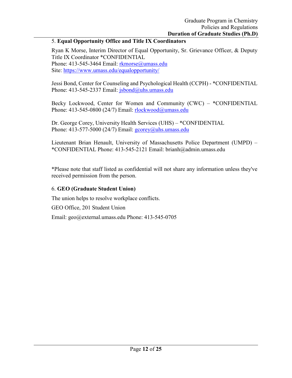## 5. **Equal Opportunity Office and Title IX Coordinators**

Ryan K Morse, Interim Director of Equal Opportunity, Sr. Grievance Officer, & Deputy Title IX Coordinator \*CONFIDENTIAL Phone: 413-545-3464 Email: [rkmorse@umass.edu](mailto:rkmorse@umass.edu) Site:<https://www.umass.edu/equalopportunity/>

Jessi Bond, Center for Counseling and Psychological Health (CCPH) - \*CONFIDENTIAL Phone: 413-545-2337 Email: [jsbond@uhs.umass.edu](mailto:jsbond@uhs.umass.edu)

Becky Lockwood, Center for Women and Community (CWC) – \*CONFIDENTIAL Phone: 413-545-0800 (24/7) Email: [rlockwood@umass.edu](mailto:rlockwood@umass.edu)

Dr. George Corey, University Health Services (UHS) – \*CONFIDENTIAL Phone:  $413-577-5000$  (24/7) Email:  $gcorey@uhs.umass.edu$ 

Lieutenant Brian Henault, University of Massachusetts Police Department (UMPD) – \*CONFIDENTIAL Phone: 413-545-2121 Email: brianh@admin.umass.edu

\*Please note that staff listed as confidential will not share any information unless they've received permission from the person.

## 6. **GEO (Graduate Student Union)**

The union helps to resolve workplace conflicts.

GEO Office, 201 Student Union

Email: geo@external.umass.edu Phone: 413-545-0705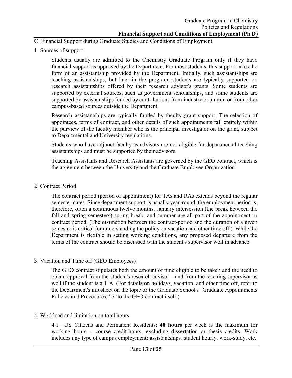- C. Financial Support during Graduate Studies and Conditions of Employment
- 1. Sources of support

Students usually are admitted to the Chemistry Graduate Program only if they have financial support as approved by the Department. For most students, this support takes the form of an assistantship provided by the Department. Initially, such assistantships are teaching assistantships, but later in the program, students are typically supported on research assistantships offered by their research advisor's grants. Some students are supported by external sources, such as government scholarships, and some students are supported by assistantships funded by contributions from industry or alumni or from other campus-based sources outside the Department.

Research assistantships are typically funded by faculty grant support. The selection of appointees, terms of contract, and other details of such appointments fall entirely within the purview of the faculty member who is the principal investigator on the grant, subject to Departmental and University regulations.

Students who have adjunct faculty as advisors are not eligible for departmental teaching assistantships and must be supported by their advisors.

Teaching Assistants and Research Assistants are governed by the GEO contract, which is the agreement between the University and the Graduate Employee Organization.

2. Contract Period

The contract period (period of appointment) for TAs and RAs extends beyond the regular semester dates. Since department support is usually year-round, the employment period is, therefore, often a continuous twelve months. January intersession (the break between the fall and spring semesters) spring break, and summer are all part of the appointment or contract period. (The distinction between the contract-period and the duration of a given semester is critical for understanding the policy on vacation and other time off.) While the Department is flexible in setting working conditions, any proposed departure from the terms of the contract should be discussed with the student's supervisor well in advance.

3. Vacation and Time off (GEO Employees)

The GEO contract stipulates both the amount of time eligible to be taken and the need to obtain approval from the student's research advisor – and from the teaching supervisor as well if the student is a T.A. (For details on holidays, vacation, and other time off, refer to the Department's infosheet on the topic or the Graduate School's "Graduate Appointments Policies and Procedures," or to the GEO contract itself.)

4. Workload and limitation on total hours

4.1—US Citizens and Permanent Residents: **40 hours** per week is the maximum for working hours + course credit-hours, excluding dissertation or thesis credits. Work includes any type of campus employment: assistantships*,* student hourly, work-study, etc.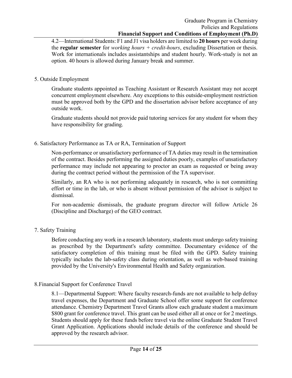4.2—International Students: F1 and J1 visa holders are limited to **20 hours** per week during the **regular semester** for *working hours + credit-hours*, excluding Dissertation or thesis. Work for internationals includes assistantships and student hourly. Work-study is not an option. 40 hours is allowed during January break and summer.

## 5. Outside Employment

Graduate students appointed as Teaching Assistant or Research Assistant may not accept concurrent employment elsewhere. Any exceptions to this outside-employment restriction must be approved both by the GPD and the dissertation advisor before acceptance of any outside work.

Graduate students should not provide paid tutoring services for any student for whom they have responsibility for grading.

## 6. Satisfactory Performance as TA or RA, Termination of Support

Non-performance or unsatisfactory performance of TA duties may result in the termination of the contract. Besides performing the assigned duties poorly, examples of unsatisfactory performance may include not appearing to proctor an exam as requested or being away during the contract period without the permission of the TA supervisor.

Similarly, an RA who is not performing adequately in research, who is not committing effort or time in the lab, or who is absent without permission of the advisor is subject to dismissal.

For non-academic dismissals, the graduate program director will follow Article 26 (Discipline and Discharge) of the GEO contract.

## 7. Safety Training

Before conducting any work in a research laboratory, students must undergo safety training as prescribed by the Department's safety committee. Documentary evidence of the satisfactory completion of this training must be filed with the GPD. Safety training typically includes the lab-safety class during orientation, as well as web-based training provided by the University's Environmental Health and Safety organization.

## 8.Financial Support for Conference Travel

8.1—Departmental Support: Where faculty research-funds are not available to help defray travel expenses, the Department and Graduate School offer some support for conference attendance. Chemistry Department Travel Grants allow each graduate student a maximum \$800 grant for conference travel. This grant can be used either all at once or for 2 meetings. Students should apply for these funds before travel via the online Graduate Student Travel Grant Application. Applications should include details of the conference and should be approved by the research advisor.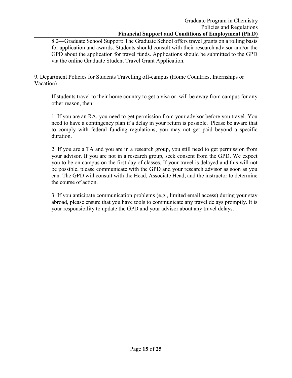8.2—Graduate School Support: The Graduate School offers travel grants on a rolling basis for application and awards. Students should consult with their research advisor and/or the GPD about the application for travel funds. Applications should be submitted to the GPD via the online Graduate Student Travel Grant Application.

9. Department Policies for Students Travelling off-campus (Home Countries, Internships or Vacation)

If students travel to their home country to get a visa or will be away from campus for any other reason, then:

1. If you are an RA, you need to get permission from your advisor before you travel. You need to have a contingency plan if a delay in your return is possible. Please be aware that to comply with federal funding regulations, you may not get paid beyond a specific duration.

2. If you are a TA and you are in a research group, you still need to get permission from your advisor. If you are not in a research group, seek consent from the GPD. We expect you to be on campus on the first day of classes. If your travel is delayed and this will not be possible, please communicate with the GPD and your research advisor as soon as you can. The GPD will consult with the Head, Associate Head, and the instructor to determine the course of action.

3. If you anticipate communication problems (e.g., limited email access) during your stay abroad, please ensure that you have tools to communicate any travel delays promptly. It is your responsibility to update the GPD and your advisor about any travel delays.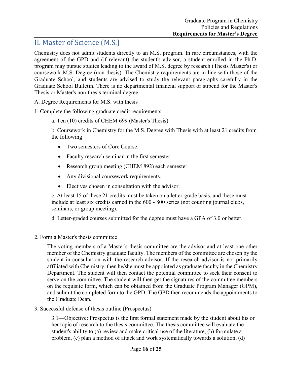## II. Master of Science (M.S.)

Chemistry does not admit students directly to an M.S. program. In rare circumstances, with the agreement of the GPD and (if relevant) the student's advisor, a student enrolled in the Ph.D. program may pursue studies leading to the award of M.S. degree by research (Thesis Master's) or coursework M.S. Degree (non-thesis). The Chemistry requirements are in line with those of the Graduate School, and students are advised to study the relevant paragraphs carefully in the Graduate School Bulletin. There is no departmental financial support or stipend for the Master's Thesis or Master's non-thesis terminal degree.

A. Degree Requirements for M.S. with thesis

1. Complete the following graduate credit requirements

a. Ten (10) credits of CHEM 699 (Master's Thesis)

b. Coursework in Chemistry for the M.S. Degree with Thesis with at least 21 credits from the following

- Two semesters of Core Course.
- Faculty research seminar in the first semester.
- Research group meeting (CHEM 892) each semester.
- Any divisional coursework requirements.
- Electives chosen in consultation with the advisor.

c. At least 15 of these 21 credits must be taken on a letter-grade basis, and these must include at least six credits earned in the 600 - 800 series (not counting journal clubs, seminars, or group meeting).

d. Letter-graded courses submitted for the degree must have a GPA of 3.0 or better.

2. Form a Master's thesis committee

The voting members of a Master's thesis committee are the advisor and at least one other member of the Chemistry graduate faculty. The members of the committee are chosen by the student in consultation with the research advisor. If the research advisor is not primarily affiliated with Chemistry, then he/she must be appointed as graduate faculty in the Chemistry Department. The student will then contact the potential committee to seek their consent to serve on the committee. The student will then get the signatures of the committee members on the requisite form, which can be obtained from the Graduate Program Manager (GPM), and submit the completed form to the GPD. The GPD then recommends the appointments to the Graduate Dean.

3. Successful defense of thesis outline (Prospectus)

3.1—Objective: Prospectus is the first formal statement made by the student about his or her topic of research to the thesis committee. The thesis committee will evaluate the student's ability to (a) review and make critical use of the literature, (b) formulate a problem, (c) plan a method of attack and work systematically towards a solution, (d)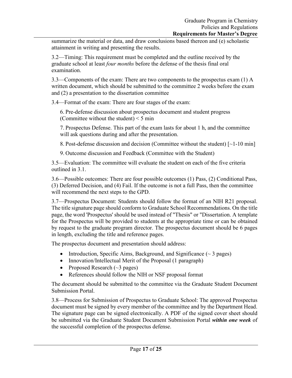summarize the material or data, and draw conclusions based thereon and (e) scholastic attainment in writing and presenting the results.

3.2—Timing: This requirement must be completed and the outline received by the graduate school at least *four months* before the defense of the thesis final oral examination.

3.3—Components of the exam: There are two components to the prospectus exam (1) A written document, which should be submitted to the committee 2 weeks before the exam and (2) a presentation to the dissertation committee

3.4—Format of the exam: There are four stages of the exam:

6. Pre-defense discussion about prospectus document and student progress (Committee without the student)  $\leq$  5 min

7. Prospectus Defense. This part of the exam lasts for about 1 h, and the committee will ask questions during and after the presentation.

8. Post-defense discussion and decision (Committee without the student) [~1-10 min]

9. Outcome discussion and Feedback (Committee with the Student)

3.5—Evaluation: The committee will evaluate the student on each of the five criteria outlined in 3.1.

3.6—Possible outcomes: There are four possible outcomes (1) Pass, (2) Conditional Pass, (3) Deferred Decision, and (4) Fail. If the outcome is not a full Pass, then the committee will recommend the next steps to the GPD.

3.7—Prospectus Document: Students should follow the format of an NIH R21 proposal. The title signature page should conform to Graduate School Recommendations. On the title page, the word 'Prospectus' should be used instead of "Thesis" or "Dissertation. A template for the Prospectus will be provided to students at the appropriate time or can be obtained by request to the graduate program director. The prospectus document should be 6 pages in length, excluding the title and reference pages.

The prospectus document and presentation should address:

- Introduction, Specific Aims, Background, and Significance  $(\sim 3 \text{ pages})$
- Innovation/Intellectual Merit of the Proposal (1 paragraph)
- Proposed Research  $(\sim 3 \text{ pages})$
- References should follow the NIH or NSF proposal format

The document should be submitted to the committee via the Graduate Student Document Submission Portal.

3.8—Process for Submission of Prospectus to Graduate School: The approved Prospectus document must be signed by every member of the committee and by the Department Head. The signature page can be signed electronically. A PDF of the signed cover sheet should be submitted via the Graduate Student Document Submission Portal *within one week* of the successful completion of the prospectus defense.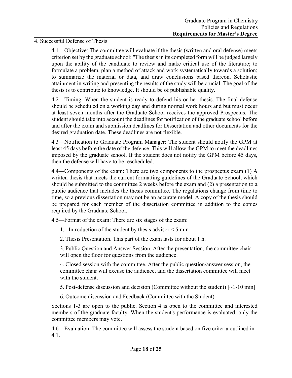## 4. Successful Defense of Thesis

4.1—Objective: The committee will evaluate if the thesis (written and oral defense) meets criterion set by the graduate school: "The thesis in its completed form will be judged largely upon the ability of the candidate to review and make critical use of the literature; to formulate a problem, plan a method of attack and work systematically towards a solution; to summarize the material or data, and draw conclusions based thereon. Scholastic attainment in writing and presenting the results of the study will be crucial. The goal of the thesis is to contribute to knowledge. It should be of publishable quality."

4.2—Timing: When the student is ready to defend his or her thesis. The final defense should be scheduled on a working day and during normal work hours and but must occur at least seven months after the Graduate School receives the approved Prospectus. The student should take into account the deadlines for notification of the graduate school before and after the exam and submission deadlines for Dissertation and other documents for the desired graduation date. These deadlines are not flexible.

4.3—Notification to Graduate Program Manager: The student should notify the GPM at least 45 days before the date of the defense. This will allow the GPM to meet the deadlines imposed by the graduate school. If the student does not notify the GPM before 45 days, then the defense will have to be rescheduled.

4.4—Components of the exam: There are two components to the prospectus exam (1) A written thesis that meets the current formatting guidelines of the Graduate School, which should be submitted to the committee 2 weeks before the exam and (2) a presentation to a public audience that includes the thesis committee. The regulations change from time to time, so a previous dissertation may not be an accurate model. A copy of the thesis should be prepared for each member of the dissertation committee in addition to the copies required by the Graduate School.

4.5—Format of the exam: There are six stages of the exam:

- 1. Introduction of the student by thesis advisor  $\leq$  5 min
- 2. Thesis Presentation. This part of the exam lasts for about 1 h.

3. Public Question and Answer Session. After the presentation, the committee chair will open the floor for questions from the audience.

4. Closed session with the committee. After the public question/answer session, the committee chair will excuse the audience, and the dissertation committee will meet with the student.

5. Post-defense discussion and decision (Committee without the student) [~1-10 min]

6. Outcome discussion and Feedback (Committee with the Student)

Sections 1-3 are open to the public. Section 4 is open to the committee and interested members of the graduate faculty. When the student's performance is evaluated, only the committee members may vote.

4.6—Evaluation: The committee will assess the student based on five criteria outlined in 4.1.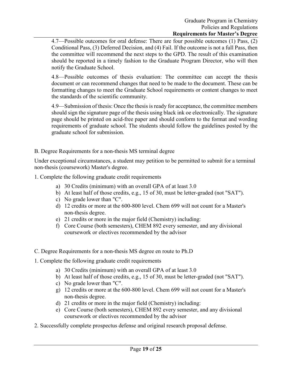4.7—Possible outcomes for oral defense: There are four possible outcomes (1) Pass, (2) Conditional Pass, (3) Deferred Decision, and (4) Fail. If the outcome is not a full Pass, then the committee will recommend the next steps to the GPD. The result of this examination should be reported in a timely fashion to the Graduate Program Director, who will then notify the Graduate School.

4.8—Possible outcomes of thesis evaluation: The committee can accept the thesis document or can recommend changes that need to be made to the document. These can be formatting changes to meet the Graduate School requirements or content changes to meet the standards of the scientific community.

4.9—Submission of thesis: Once the thesis is ready for acceptance, the committee members should sign the signature page of the thesis using black ink oe electronically. The signature page should be printed on acid-free paper and should conform to the format and wording requirements of graduate school. The students should follow the guidelines posted by the graduate school for submission.

B. Degree Requirements for a non-thesis MS terminal degree

Under exceptional circumstances, a student may petition to be permitted to submit for a terminal non-thesis (coursework) Master's degree.

1. Complete the following graduate credit requirements

- a) 30 Credits (minimum) with an overall GPA of at least 3.0
- b) At least half of those credits, e.g., 15 of 30, must be letter-graded (not "SAT").
- c) No grade lower than "C".
- d) 12 credits or more at the 600-800 level. Chem 699 will not count for a Master's non-thesis degree.
- e) 21 credits or more in the major field (Chemistry) including:
- f) Core Course (both semesters), CHEM 892 every semester, and any divisional coursework or electives recommended by the advisor
- C. Degree Requirements for a non-thesis MS degree en route to Ph.D
- 1. Complete the following graduate credit requirements
	- a) 30 Credits (minimum) with an overall GPA of at least 3.0
	- b) At least half of those credits, e.g., 15 of 30, must be letter-graded (not "SAT").
	- c) No grade lower than "C".
	- g) 12 credits or more at the 600-800 level. Chem 699 will not count for a Master's non-thesis degree.
	- d) 21 credits or more in the major field (Chemistry) including:
	- e) Core Course (both semesters), CHEM 892 every semester, and any divisional coursework or electives recommended by the advisor
- 2. Successfully complete prospectus defense and original research proposal defense.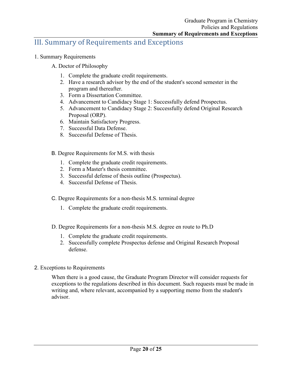## III. Summary of Requirements and Exceptions

- 1. Summary Requirements
	- A. Doctor of Philosophy
		- 1. Complete the graduate credit requirements.
		- 2. Have a research advisor by the end of the student's second semester in the program and thereafter.
		- 3. Form a Dissertation Committee.
		- 4. Advancement to Candidacy Stage 1: Successfully defend Prospectus.
		- 5. Advancement to Candidacy Stage 2: Successfully defend Original Research Proposal (ORP).
		- 6. Maintain Satisfactory Progress.
		- 7. Successful Data Defense.
		- 8. Successful Defense of Thesis.
	- B. Degree Requirements for M.S. with thesis
		- 1. Complete the graduate credit requirements.
		- 2. Form a Master's thesis committee.
		- 3. Successful defense of thesis outline (Prospectus).
		- 4. Successful Defense of Thesis.
	- C. Degree Requirements for a non-thesis M.S. terminal degree
		- 1. Complete the graduate credit requirements.
	- D. Degree Requirements for a non-thesis M.S. degree en route to Ph.D
		- 1. Complete the graduate credit requirements.
		- 2. Successfully complete Prospectus defense and Original Research Proposal defense.
- 2. Exceptions to Requirements

When there is a good cause, the Graduate Program Director will consider requests for exceptions to the regulations described in this document. Such requests must be made in writing and, where relevant, accompanied by a supporting memo from the student's advisor.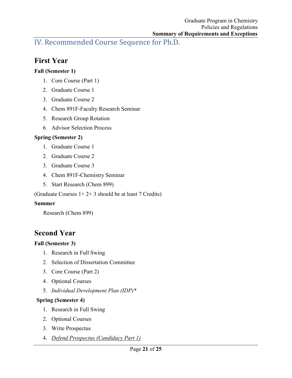IV. Recommended Course Sequence for Ph.D.

# **First Year**

## **Fall (Semester 1)**

- 1. Core Course (Part 1)
- 2. Graduate Course 1
- 3. Graduate Course 2
- 4. Chem 891F-Faculty Research Seminar
- 5. Research Group Rotation
- 6. Advisor Selection Process

## **Spring (Semester 2)**

- 1. Graduate Course 1
- 2. Graduate Course 2
- 3. Graduate Course 3
- 4. Chem 891F-Chemistry Seminar
- 5. Start Research (Chem 899)

(Graduate Courses  $1+2+3$  should be at least 7 Credits)

## **Summer**

Research (Chem 899)

# **Second Year**

## **Fall (Semester 3)**

- 1. Research in Full Swing
- 2. Selection of Dissertation Committee
- 3. Core Course (Part 2)
- 4. Optional Courses
- 5. *Individual Development Plan (IDP)\**

## **Spring (Semester 4)**

- 1. Research in Full Swing
- 2. Optional Courses
- 3. Write Prospectus
- 4. *Defend Prospectus (Candidacy Part 1)*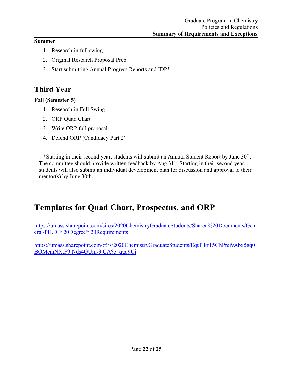## **Summer**

- 1. Research in full swing
- 2. Original Research Proposal Prep
- 3. Start submitting Annual Progress Reports and IDP\*

# **Third Year**

## **Fall (Semester 5)**

- 1. Research in Full Swing
- 2. ORP Quad Chart
- 3. Write ORP full proposal
- 4. Defend ORP (Candidacy Part 2)

\*Starting in their second year, students will submit an Annual Student Report by June 30<sup>th</sup>. The committee should provide written feedback by Aug  $31<sup>st</sup>$ . Starting in their second year, students will also submit an individual development plan for discussion and approval to their mentor(s) by June 30th.

# **Templates for Quad Chart, Prospectus, and ORP**

[https://umass.sharepoint.com/sites/2020ChemistryGraduateStudents/Shared%20Documents/Gen](https://umass.sharepoint.com/sites/2020ChemistryGraduateStudents/Shared%20Documents/General/PH.D.%20Degree%20Requirements) [eral/PH.D.%20Degree%20Requirements](https://umass.sharepoint.com/sites/2020ChemistryGraduateStudents/Shared%20Documents/General/PH.D.%20Degree%20Requirements)

[https://umass.sharepoint.com/:f:/s/2020ChemistryGraduateStudents/EqtTIkfT5ChPrei9Abx5gq0](https://umass.sharepoint.com/:f:/s/2020ChemistryGraduateStudents/EqtTIkfT5ChPrei9Abx5gq0BOMemNXtF9jNds4GUm-3jCA?e=qgq9Uj) [BOMemNXtF9jNds4GUm-3jCA?e=qgq9Uj](https://umass.sharepoint.com/:f:/s/2020ChemistryGraduateStudents/EqtTIkfT5ChPrei9Abx5gq0BOMemNXtF9jNds4GUm-3jCA?e=qgq9Uj)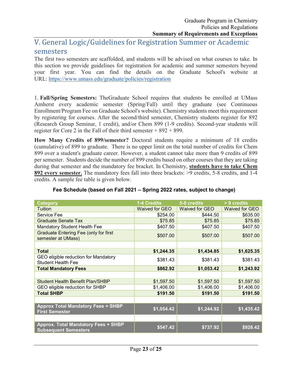## V. General Logic/Guidelines for Registration Summer or Academic semesters

The first two semesters are scaffolded, and students will be advised on what courses to take. In this section we provide guidelines for registration for academic and summer semesters beyond your first year. You can find the details on the Graduate School's website at URL: <https://www.umass.edu/graduate/policies/registration>

1. **Fall/Spring Semesters:** TheGraduate School requires that students be enrolled at UMass Amherst every academic semester (Spring/Fall) until they graduate (see Continuous Enrollment/Program Fee on Graduate School's website). Chemistry students meet this requirement by registering for courses. After the second/third semester, Chemistry students register for 892 (Research Group Seminar, 1 credit), and/or Chem 899 (1-9 credits). Second-year students will register for Core 2 in the Fall of their third semester  $+892 + 899$ .

**How Many Credits of 899/semester?** Doctoral students require a minimum of 18 credits (cumulative) of 899 to graduate. There is no upper limit on the total number of credits for Chem 899 over a student's graduate career. However, a student cannot take more than 9 credits of 899 per semester. Students decide the number of 899 credits based on other courses that they are taking during that semester and the mandatory fee bracket. In Chemistry, **students have to take Chem 892 every semester.** The mandatory fees fall into three brackets: >9 credits, 5-8 credits, and 1-4 credits. A sample fee table is given below.

| <b>Category</b>                                                           | 1-4 Credits           | 5-8 credits    | > 9 credits    |
|---------------------------------------------------------------------------|-----------------------|----------------|----------------|
| Tuition                                                                   | <b>Waived for GEO</b> | Waived for GEO | Waived for GEO |
| Service Fee                                                               | \$254.00              | \$444.50       | \$635.00       |
| <b>Graduate Senate Tax</b>                                                | \$75.85               | \$75.85        | \$75.85        |
| <b>Mandatory Student Health Fee</b>                                       | \$407.50              | \$407.50       | \$407.50       |
| <b>Graduate Entering Fee (only for first</b><br>semester at UMass)        | \$507.00              | \$507.00       | \$507.00       |
|                                                                           |                       |                |                |
| <b>Total</b>                                                              | \$1,244.35            | \$1,434.85     | \$1,625.35     |
| GEO eligible reduction for Mandatory<br><b>Student Health Fee</b>         | \$381.43              | \$381.43       | \$381.43       |
| <b>Total Mandatory Fees</b>                                               | \$862.92              | \$1,053.42     | \$1,243.92     |
|                                                                           |                       |                |                |
| <b>Student Health Benefit Plan/SHBP</b>                                   | \$1,597.50            | \$1,597.50     | \$1,597.50     |
| GEO eligible reduction for SHBP                                           | \$1,406.00            | \$1,406.00     | \$1,406.00     |
| <b>Total SHBP</b>                                                         | \$191.50              | \$191.50       | \$191.50       |
|                                                                           |                       |                |                |
| <b>Approx Total Mandatory Fees + SHBP</b><br><b>First Semester</b>        | \$1,054.42            | \$1,244.92     | \$1,435.42     |
|                                                                           |                       |                |                |
| <b>Approx. Total Mandatory Fees + SHBP</b><br><b>Subsequent Semesters</b> | \$547.42              | \$737.92       | \$928.42       |

## **Fee Schedule (based on Fall 2021 – Spring 2022 rates, subject to change)**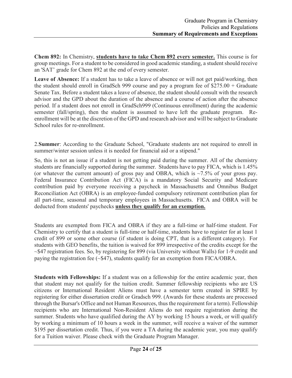**Chem 892:** In Chemistry, **students have to take Chem 892 every semester.** This course is for group meetings. For a student to be considered in good academic standing, a student should receive an 'SAT' grade for Chem 892 at the end of every semester.

**Leave of Absence:** If a student has to take a leave of absence or will not get paid/working, then the student should enroll in GradSch 999 course and pay a program fee of \$275.00 + Graduate Senate Tax. Before a student takes a leave of absence, the student should consult with the research advisor and the GPD about the duration of the absence and a course of action after the absence period. If a student does not enroll in GradSch999 (Continuous enrollment) during the academic semester (fall/spring), then the student is assumed to have left the graduate program. Reenrollment will be at the discretion of the GPD and research advisor and will be subject to Graduate School rules for re-enrollment.

2.**Summer**: According to the Graduate School, "Graduate students are not required to enroll in summer/winter session unless it is needed for financial aid or a stipend."

So, this is not an issue if a student is not getting paid during the summer. All of the chemistry students are financially supported during the summer. Students have to pay FICA, which is 1.45% (or whatever the current amount) of gross pay and OBRA, which is  $\sim$ 7.5% of your gross pay. Federal Insurance Contribution Act (FICA) is a mandatory Social Security and Medicare contribution paid by everyone receiving a paycheck in Massachusetts and Omnibus Budget Reconciliation Act (OBRA) is an employee-funded compulsory retirement contribution plan for all part-time, seasonal and temporary employees in Massachusetts. FICA and OBRA will be deducted from students' paychecks **unless they qualify for an exemption.**

Students are exempted from FICA and OBRA if they are a full-time or half-time student. For Chemistry to certify that a student is full-time or half-time, students have to register for at least 1 credit of 899 or some other course (if student is doing CPT, that is a different category). For students with GEO benefits, the tuition is waived for 899 irrespective of the credits except for the ~\$47 registration fees. So, by registering for 899 (via University without Walls) for 1-9 credit and paying the registration fee  $(\sim 447)$ , students qualify for an exemption from FICA/OBRA.

**Students with Fellowships:** If a student was on a fellowship for the entire academic year, then that student may not qualify for the tuition credit. Summer fellowship recipients who are US citizens or International Resident Aliens must have a semester term created in SPIRE by registering for either dissertation credit or Gradsch 999. (Awards for these students are processed through the Bursar's Office and not Human Resources, thus the requirement for a term). Fellowship recipients who are International Non-Resident Aliens do not require registration during the summer. Students who have qualified during the AY by working 15 hours a week, or will qualify by working a minimum of 10 hours a week in the summer, will receive a waiver of the summer \$195 per dissertation credit. Thus, if you were a TA during the academic year, you may qualify for a Tuition waiver. Please check with the Graduate Program Manager.